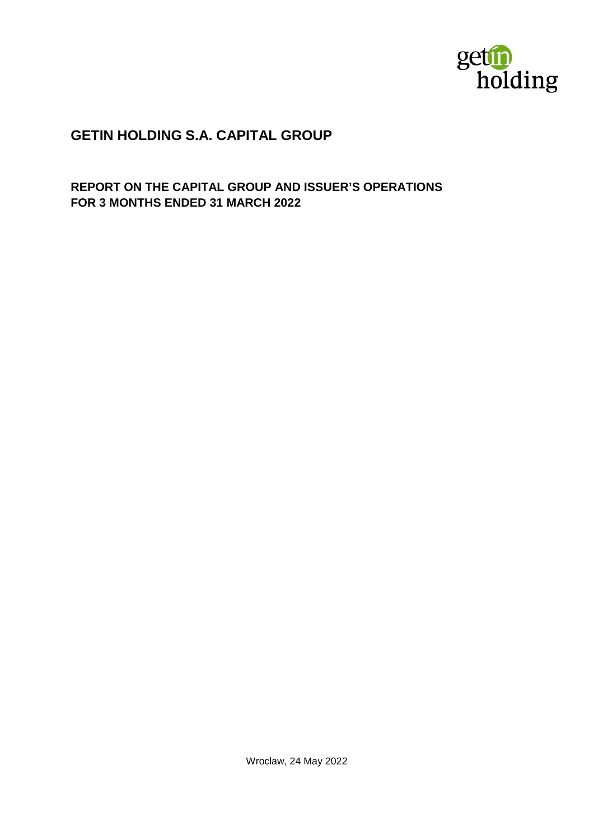

# **GETIN HOLDING S.A. CAPITAL GROUP**

**REPORT ON THE CAPITAL GROUP AND ISSUER'S OPERATIONS FOR 3 MONTHS ENDED 31 MARCH 2022**

Wroclaw, 24 May 2022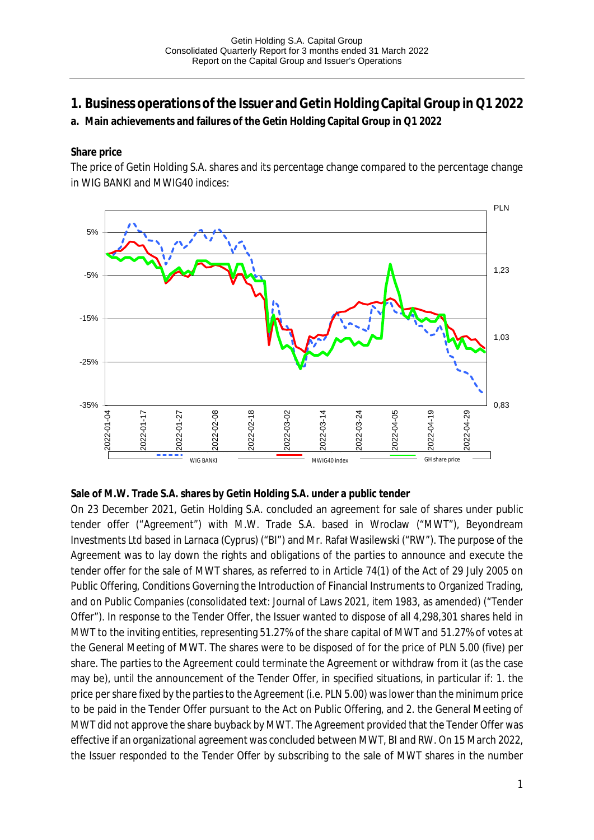- **1. Business operations of the Issuer and Getin Holding Capital Group in Q1 2022**
- **a. Main achievements and failures of the Getin Holding Capital Group in Q1 2022**

**Share price**

The price of Getin Holding S.A. shares and its percentage change compared to the percentage change in WIG BANKI and MWIG40 indices:



**Sale of M.W. Trade S.A. shares by Getin Holding S.A. under a public tender**

On 23 December 2021, Getin Holding S.A. concluded an agreement for sale of shares under public tender offer ("Agreement") with M.W. Trade S.A. based in Wroclaw ("MWT"), Beyondream Investments Ltd based in Larnaca (Cyprus) ("BI") and Mr. Rafał Wasilewski ("RW"). The purpose of the Agreement was to lay down the rights and obligations of the parties to announce and execute the tender offer for the sale of MWT shares, as referred to in Article 74(1) of the Act of 29 July 2005 on Public Offering, Conditions Governing the Introduction of Financial Instruments to Organized Trading, and on Public Companies (consolidated text: Journal of Laws 2021, item 1983, as amended) ("Tender Offer"). In response to the Tender Offer, the Issuer wanted to dispose of all 4,298,301 shares held in MWT to the inviting entities, representing 51.27% of the share capital of MWT and 51.27% of votes at the General Meeting of MWT. The shares were to be disposed of for the price of PLN 5.00 (five) per share. The parties to the Agreement could terminate the Agreement or withdraw from it (as the case may be), until the announcement of the Tender Offer, in specified situations, in particular if: 1. the price per share fixed by the parties to the Agreement (i.e. PLN 5.00) was lower than the minimum price to be paid in the Tender Offer pursuant to the Act on Public Offering, and 2. the General Meeting of MWT did not approve the share buyback by MWT. The Agreement provided that the Tender Offer was effective if an organizational agreement was concluded between MWT, BI and RW. On 15 March 2022, the Issuer responded to the Tender Offer by subscribing to the sale of MWT shares in the number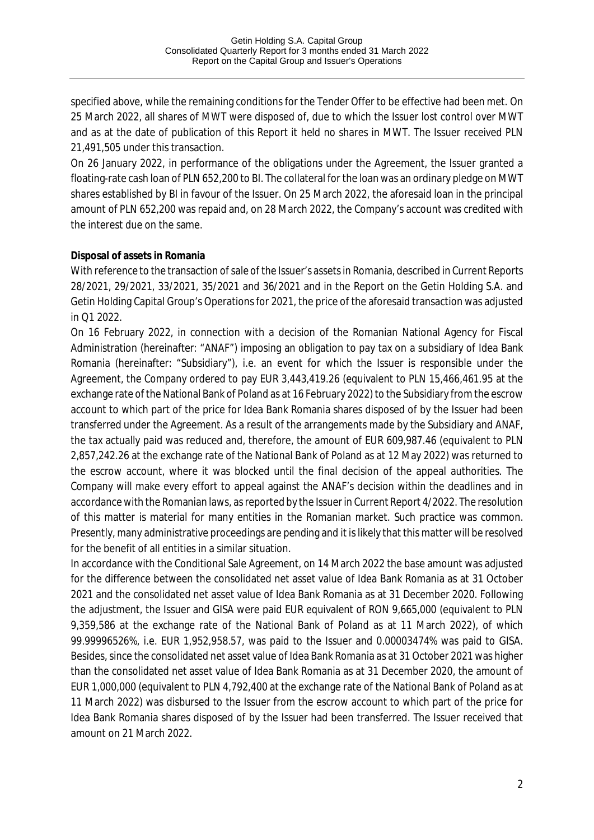specified above, while the remaining conditions for the Tender Offer to be effective had been met. On 25 March 2022, all shares of MWT were disposed of, due to which the Issuer lost control over MWT and as at the date of publication of this Report it held no shares in MWT. The Issuer received PLN 21,491,505 under this transaction.

On 26 January 2022, in performance of the obligations under the Agreement, the Issuer granted a floating-rate cash loan of PLN 652,200 to BI. The collateral for the loan was an ordinary pledge on MWT shares established by BI in favour of the Issuer. On 25 March 2022, the aforesaid loan in the principal amount of PLN 652,200 was repaid and, on 28 March 2022, the Company's account was credited with the interest due on the same.

### **Disposal of assets in Romania**

With reference to the transaction of sale of the Issuer's assets in Romania, described in Current Reports 28/2021, 29/2021, 33/2021, 35/2021 and 36/2021 and in the Report on the Getin Holding S.A. and Getin Holding Capital Group's Operations for 2021, the price of the aforesaid transaction was adjusted in Q1 2022.

On 16 February 2022, in connection with a decision of the Romanian National Agency for Fiscal Administration (hereinafter: "ANAF") imposing an obligation to pay tax on a subsidiary of Idea Bank Romania (hereinafter: "Subsidiary"), i.e. an event for which the Issuer is responsible under the Agreement, the Company ordered to pay EUR 3,443,419.26 (equivalent to PLN 15,466,461.95 at the exchange rate of the National Bank of Poland as at 16 February 2022) to the Subsidiary from the escrow account to which part of the price for Idea Bank Romania shares disposed of by the Issuer had been transferred under the Agreement. As a result of the arrangements made by the Subsidiary and ANAF, the tax actually paid was reduced and, therefore, the amount of EUR 609,987.46 (equivalent to PLN 2,857,242.26 at the exchange rate of the National Bank of Poland as at 12 May 2022) was returned to the escrow account, where it was blocked until the final decision of the appeal authorities. The Company will make every effort to appeal against the ANAF's decision within the deadlines and in accordance with the Romanian laws, as reported by the Issuer in Current Report 4/2022. The resolution of this matter is material for many entities in the Romanian market. Such practice was common. Presently, many administrative proceedings are pending and it is likely that this matter will be resolved for the benefit of all entities in a similar situation.

In accordance with the Conditional Sale Agreement, on 14 March 2022 the base amount was adjusted for the difference between the consolidated net asset value of Idea Bank Romania as at 31 October 2021 and the consolidated net asset value of Idea Bank Romania as at 31 December 2020. Following the adjustment, the Issuer and GISA were paid EUR equivalent of RON 9,665,000 (equivalent to PLN 9,359,586 at the exchange rate of the National Bank of Poland as at 11 March 2022), of which 99.99996526%, i.e. EUR 1,952,958.57, was paid to the Issuer and 0.00003474% was paid to GISA. Besides, since the consolidated net asset value of Idea Bank Romania as at 31 October 2021 was higher than the consolidated net asset value of Idea Bank Romania as at 31 December 2020, the amount of EUR 1,000,000 (equivalent to PLN 4,792,400 at the exchange rate of the National Bank of Poland as at 11 March 2022) was disbursed to the Issuer from the escrow account to which part of the price for Idea Bank Romania shares disposed of by the Issuer had been transferred. The Issuer received that amount on 21 March 2022.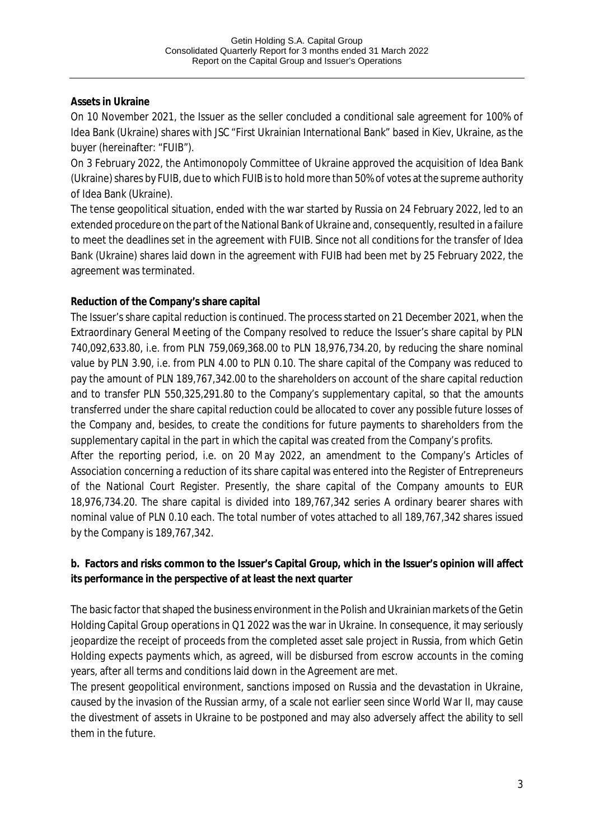## **Assets in Ukraine**

On 10 November 2021, the Issuer as the seller concluded a conditional sale agreement for 100% of Idea Bank (Ukraine) shares with JSC "First Ukrainian International Bank" based in Kiev, Ukraine, as the buyer (hereinafter: "FUIB").

On 3 February 2022, the Antimonopoly Committee of Ukraine approved the acquisition of Idea Bank (Ukraine) shares by FUIB, due to which FUIB is to hold more than 50% of votes at the supreme authority of Idea Bank (Ukraine).

The tense geopolitical situation, ended with the war started by Russia on 24 February 2022, led to an extended procedure on the part of the National Bank of Ukraine and, consequently, resulted in a failure to meet the deadlines set in the agreement with FUIB. Since not all conditions for the transfer of Idea Bank (Ukraine) shares laid down in the agreement with FUIB had been met by 25 February 2022, the agreement was terminated.

## **Reduction of the Company's share capital**

The Issuer's share capital reduction is continued. The process started on 21 December 2021, when the Extraordinary General Meeting of the Company resolved to reduce the Issuer's share capital by PLN 740,092,633.80, i.e. from PLN 759,069,368.00 to PLN 18,976,734.20, by reducing the share nominal value by PLN 3.90, i.e. from PLN 4.00 to PLN 0.10. The share capital of the Company was reduced to pay the amount of PLN 189,767,342.00 to the shareholders on account of the share capital reduction and to transfer PLN 550,325,291.80 to the Company's supplementary capital, so that the amounts transferred under the share capital reduction could be allocated to cover any possible future losses of the Company and, besides, to create the conditions for future payments to shareholders from the supplementary capital in the part in which the capital was created from the Company's profits.

After the reporting period, i.e. on 20 May 2022, an amendment to the Company's Articles of Association concerning a reduction of its share capital was entered into the Register of Entrepreneurs of the National Court Register. Presently, the share capital of the Company amounts to EUR 18,976,734.20. The share capital is divided into 189,767,342 series A ordinary bearer shares with nominal value of PLN 0.10 each. The total number of votes attached to all 189,767,342 shares issued by the Company is 189,767,342.

**b. Factors and risks common to the Issuer's Capital Group, which in the Issuer's opinion will affect its performance in the perspective of at least the next quarter**

The basic factor that shaped the business environment in the Polish and Ukrainian markets of the Getin Holding Capital Group operations in Q1 2022 was the war in Ukraine. In consequence, it may seriously jeopardize the receipt of proceeds from the completed asset sale project in Russia, from which Getin Holding expects payments which, as agreed, will be disbursed from escrow accounts in the coming years, after all terms and conditions laid down in the Agreement are met.

The present geopolitical environment, sanctions imposed on Russia and the devastation in Ukraine, caused by the invasion of the Russian army, of a scale not earlier seen since World War II, may cause the divestment of assets in Ukraine to be postponed and may also adversely affect the ability to sell them in the future.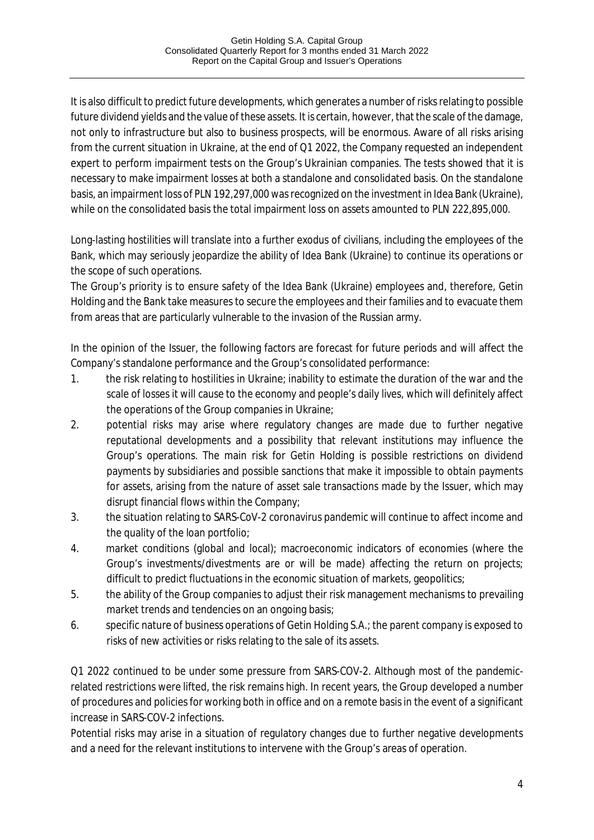It is also difficult to predict future developments, which generates a number of risks relating to possible future dividend yields and the value of these assets. It is certain, however, that the scale of the damage, not only to infrastructure but also to business prospects, will be enormous. Aware of all risks arising from the current situation in Ukraine, at the end of Q1 2022, the Company requested an independent expert to perform impairment tests on the Group's Ukrainian companies. The tests showed that it is necessary to make impairment losses at both a standalone and consolidated basis. On the standalone basis, an impairment loss of PLN 192,297,000 was recognized on the investment in Idea Bank (Ukraine), while on the consolidated basis the total impairment loss on assets amounted to PLN 222,895,000.

Long-lasting hostilities will translate into a further exodus of civilians, including the employees of the Bank, which may seriously jeopardize the ability of Idea Bank (Ukraine) to continue its operations or the scope of such operations.

The Group's priority is to ensure safety of the Idea Bank (Ukraine) employees and, therefore, Getin Holding and the Bank take measures to secure the employees and their families and to evacuate them from areas that are particularly vulnerable to the invasion of the Russian army.

In the opinion of the Issuer, the following factors are forecast for future periods and will affect the Company's standalone performance and the Group's consolidated performance:

- 1. the risk relating to hostilities in Ukraine; inability to estimate the duration of the war and the scale of losses it will cause to the economy and people's daily lives, which will definitely affect the operations of the Group companies in Ukraine;
- 2. potential risks may arise where regulatory changes are made due to further negative reputational developments and a possibility that relevant institutions may influence the Group's operations. The main risk for Getin Holding is possible restrictions on dividend payments by subsidiaries and possible sanctions that make it impossible to obtain payments for assets, arising from the nature of asset sale transactions made by the Issuer, which may disrupt financial flows within the Company;
- 3. the situation relating to SARS-CoV-2 coronavirus pandemic will continue to affect income and the quality of the loan portfolio;
- 4. market conditions (global and local); macroeconomic indicators of economies (where the Group's investments/divestments are or will be made) affecting the return on projects; difficult to predict fluctuations in the economic situation of markets, geopolitics;
- 5. the ability of the Group companies to adjust their risk management mechanisms to prevailing market trends and tendencies on an ongoing basis;
- 6. specific nature of business operations of Getin Holding S.A.; the parent company is exposed to risks of new activities or risks relating to the sale of its assets.

Q1 2022 continued to be under some pressure from SARS-COV-2. Although most of the pandemicrelated restrictions were lifted, the risk remains high. In recent years, the Group developed a number of procedures and policies for working both in office and on a remote basis in the event of a significant increase in SARS-COV-2 infections.

Potential risks may arise in a situation of regulatory changes due to further negative developments and a need for the relevant institutions to intervene with the Group's areas of operation.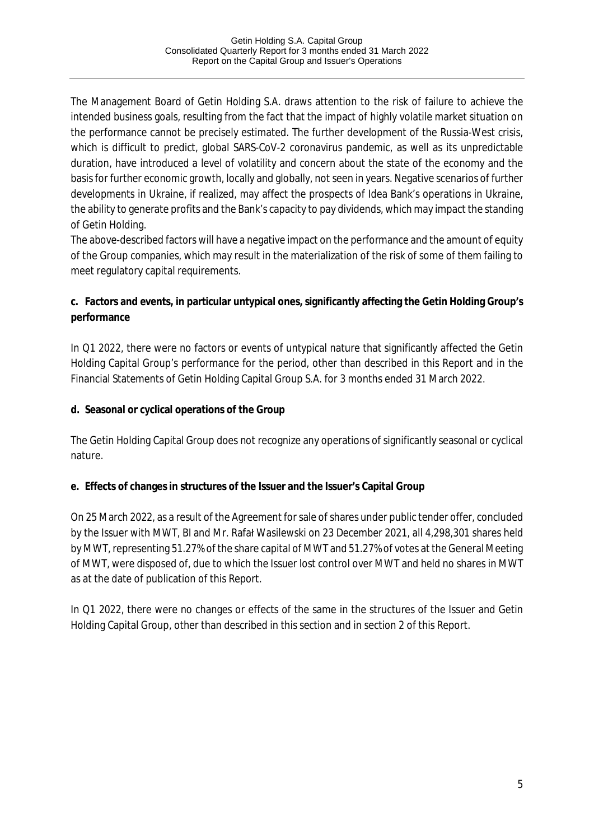The Management Board of Getin Holding S.A. draws attention to the risk of failure to achieve the intended business goals, resulting from the fact that the impact of highly volatile market situation on the performance cannot be precisely estimated. The further development of the Russia-West crisis, which is difficult to predict, global SARS-CoV-2 coronavirus pandemic, as well as its unpredictable duration, have introduced a level of volatility and concern about the state of the economy and the basis for further economic growth, locally and globally, not seen in years. Negative scenarios of further developments in Ukraine, if realized, may affect the prospects of Idea Bank's operations in Ukraine, the ability to generate profits and the Bank's capacity to pay dividends, which may impact the standing of Getin Holding.

The above-described factors will have a negative impact on the performance and the amount of equity of the Group companies, which may result in the materialization of the risk of some of them failing to meet regulatory capital requirements.

**c. Factors and events, in particular untypical ones, significantly affecting the Getin Holding Group's performance**

In Q1 2022, there were no factors or events of untypical nature that significantly affected the Getin Holding Capital Group's performance for the period, other than described in this Report and in the Financial Statements of Getin Holding Capital Group S.A. for 3 months ended 31 March 2022.

**d. Seasonal or cyclical operations of the Group**

The Getin Holding Capital Group does not recognize any operations of significantly seasonal or cyclical nature.

**e. Effects of changes in structures of the Issuer and the Issuer's Capital Group**

On 25 March 2022, as a result of the Agreement for sale of shares under public tender offer, concluded by the Issuer with MWT, BI and Mr. Rafał Wasilewski on 23 December 2021, all 4,298,301 shares held by MWT, representing 51.27% of the share capital of MWT and 51.27% of votes at the General Meeting of MWT, were disposed of, due to which the Issuer lost control over MWT and held no shares in MWT as at the date of publication of this Report.

In Q1 2022, there were no changes or effects of the same in the structures of the Issuer and Getin Holding Capital Group, other than described in this section and in section 2 of this Report.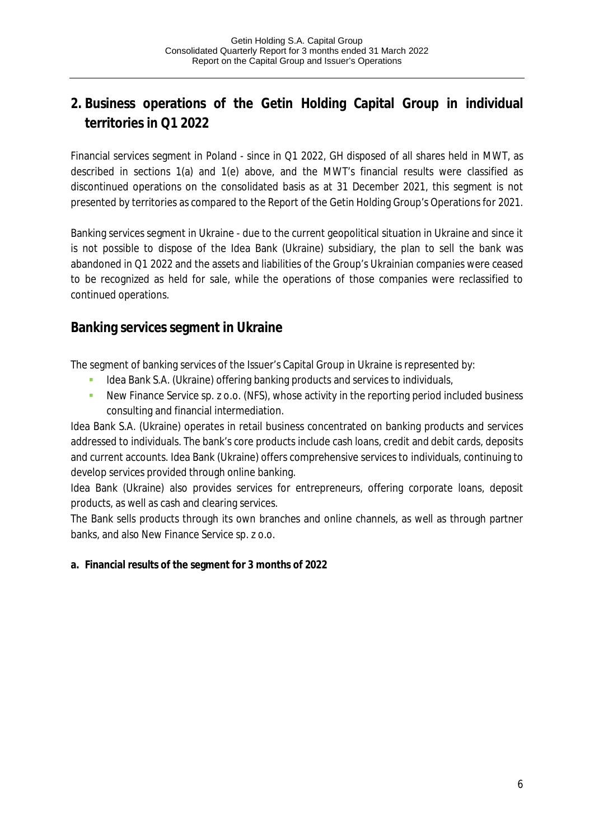# **2. Business operations of the Getin Holding Capital Group in individual territories in Q1 2022**

Financial services segment in Poland - since in Q1 2022, GH disposed of all shares held in MWT, as described in sections 1(a) and 1(e) above, and the MWT's financial results were classified as discontinued operations on the consolidated basis as at 31 December 2021, this segment is not presented by territories as compared to the Report of the Getin Holding Group's Operations for 2021.

Banking services segment in Ukraine - due to the current geopolitical situation in Ukraine and since it is not possible to dispose of the Idea Bank (Ukraine) subsidiary, the plan to sell the bank was abandoned in Q1 2022 and the assets and liabilities of the Group's Ukrainian companies were ceased to be recognized as held for sale, while the operations of those companies were reclassified to continued operations.

# **Banking services segment in Ukraine**

The segment of banking services of the Issuer's Capital Group in Ukraine is represented by:

- Idea Bank S.A. (Ukraine) offering banking products and services to individuals,
- New Finance Service sp. z o.o. (NFS), whose activity in the reporting period included business consulting and financial intermediation.

Idea Bank S.A. (Ukraine) operates in retail business concentrated on banking products and services addressed to individuals. The bank's core products include cash loans, credit and debit cards, deposits and current accounts. Idea Bank (Ukraine) offers comprehensive services to individuals, continuing to develop services provided through online banking.

Idea Bank (Ukraine) also provides services for entrepreneurs, offering corporate loans, deposit products, as well as cash and clearing services.

The Bank sells products through its own branches and online channels, as well as through partner banks, and also New Finance Service sp. z o.o.

**a. Financial results of the segment for 3 months of 2022**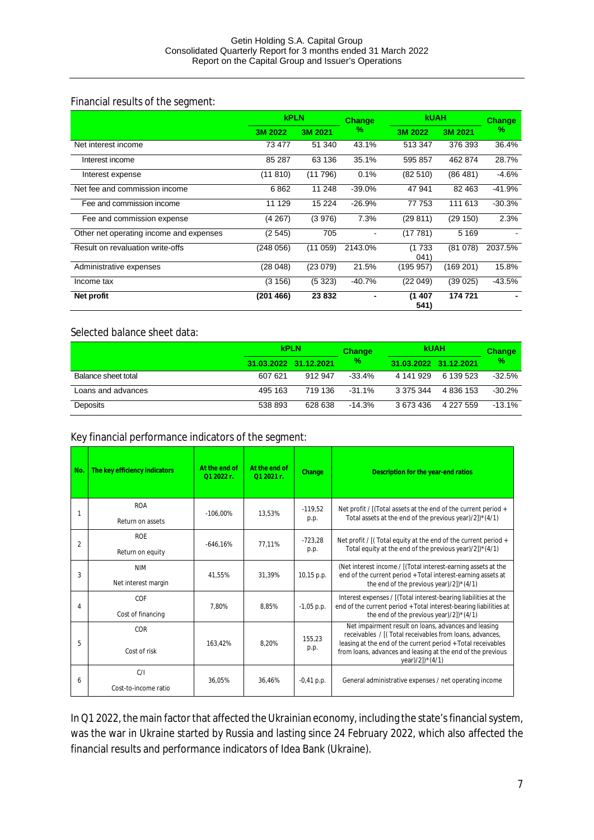#### Financial results of the segment:

|                                         | <b>kPLN</b> |         | <b>KUAH</b><br><b>Change</b> |                 | <b>Change</b> |          |
|-----------------------------------------|-------------|---------|------------------------------|-----------------|---------------|----------|
|                                         | 3M 2022     | 3M 2021 | %                            | 3M 2022         | 3M 2021       | %        |
| Net interest income                     | 73 477      | 51 340  | 43.1%                        | 513 347         | 376 393       | 36.4%    |
| Interest income                         | 85 287      | 63 136  | 35.1%                        | 595 857         | 462 874       | 28.7%    |
| Interest expense                        | (11 810)    | (11796) | 0.1%                         | (82510)         | (86481)       | $-4.6%$  |
| Net fee and commission income           | 6862        | 11 248  | $-39.0%$                     | 47 941          | 82 4 63       | $-41.9%$ |
| Fee and commission income               | 11 129      | 15 2 24 | $-26.9%$                     | 77 753          | 111 613       | $-30.3%$ |
| Fee and commission expense              | (4267)      | (3976)  | 7.3%                         | (29811)         | (29 150)      | 2.3%     |
| Other net operating income and expenses | (2545)      | 705     |                              | (17781)         | 5 1 6 9       |          |
| Result on revaluation write-offs        | (248 056)   | (11059) | 2143.0%                      | (1 733<br>(041) | (81 078)      | 2037.5%  |
| Administrative expenses                 | (28 048)    | (23079) | 21.5%                        | (195 957)       | (169 201)     | 15.8%    |
| Income tax                              | (3156)      | (5323)  | $-40.7%$                     | (22049)         | (39 025)      | $-43.5%$ |
| Net profit                              | (201 466)   | 23832   |                              | (1407<br>541)   | 174 721       |          |

#### Selected balance sheet data:

|                     |         | <b>kPLN</b>           | <b>Change</b> | <b>kUAH</b>           |           | <b>Change</b> |
|---------------------|---------|-----------------------|---------------|-----------------------|-----------|---------------|
|                     |         | 31.03.2022 31.12.2021 | %             | 31.03.2022 31.12.2021 |           | %             |
| Balance sheet total | 607 621 | 912 947               | $-33.4%$      | 4 141 929             | 6 139 523 | $-32.5%$      |
| Loans and advances  | 495 163 | 719 136               | $-31.1\%$     | 3 375 344             | 4 836 153 | $-30.2%$      |
| Deposits            | 538 893 | 628 638               | $-14.3\%$     | 3 673 436             | 4 227 559 | $-13.1%$      |

#### Key financial performance indicators of the segment:

| No.            | The key efficiency indicators     | At the end of<br>$012022r$ . | At the end of<br>$012021r$ . | Change            | Description for the year-end ratios                                                                                                                                                                                                                               |
|----------------|-----------------------------------|------------------------------|------------------------------|-------------------|-------------------------------------------------------------------------------------------------------------------------------------------------------------------------------------------------------------------------------------------------------------------|
|                | <b>ROA</b><br>Return on assets    | $-106.00\%$                  | 13.53%                       | $-119.52$<br>p.p. | Net profit / [(Total assets at the end of the current period +<br>Total assets at the end of the previous year)/2])*(4/1)                                                                                                                                         |
| $\overline{2}$ | <b>ROF</b><br>Return on equity    | $-646.16%$                   | 77.11%                       | $-723,28$<br>p.p. | Net profit / [(Total equity at the end of the current period +<br>Total equity at the end of the previous year)/2])*(4/1)                                                                                                                                         |
| 3              | <b>NIM</b><br>Net interest margin | 41.55%                       | 31.39%                       | 10,15 p.p.        | (Net interest income / [(Total interest-earning assets at the<br>end of the current period + Total interest-earning assets at<br>the end of the previous year $\frac{2}{2}$ <sup>*</sup> (4/1)                                                                    |
| 4              | COF<br>Cost of financing          | 7.80%                        | 8.85%                        | $-1,05$ p.p.      | Interest expenses / [(Total interest-bearing liabilities at the<br>end of the current period + Total interest-bearing liabilities at<br>the end of the previous year)/2] $*(4/1)$                                                                                 |
| 5              | COR<br>Cost of risk               | 163.42%                      | 8.20%                        | 155.23<br>p.p.    | Net impairment result on loans, advances and leasing<br>receivables / [(Total receivables from loans, advances,<br>leasing at the end of the current period + Total receivables<br>from loans, advances and leasing at the end of the previous<br>year)/2])*(4/1) |
| 6              | C/I<br>Cost-to-income ratio       | 36.05%                       | 36.46%                       | $-0,41$ p.p.      | General administrative expenses / net operating income                                                                                                                                                                                                            |

In Q1 2022, the main factor that affected the Ukrainian economy, including the state's financial system, was the war in Ukraine started by Russia and lasting since 24 February 2022, which also affected the financial results and performance indicators of Idea Bank (Ukraine).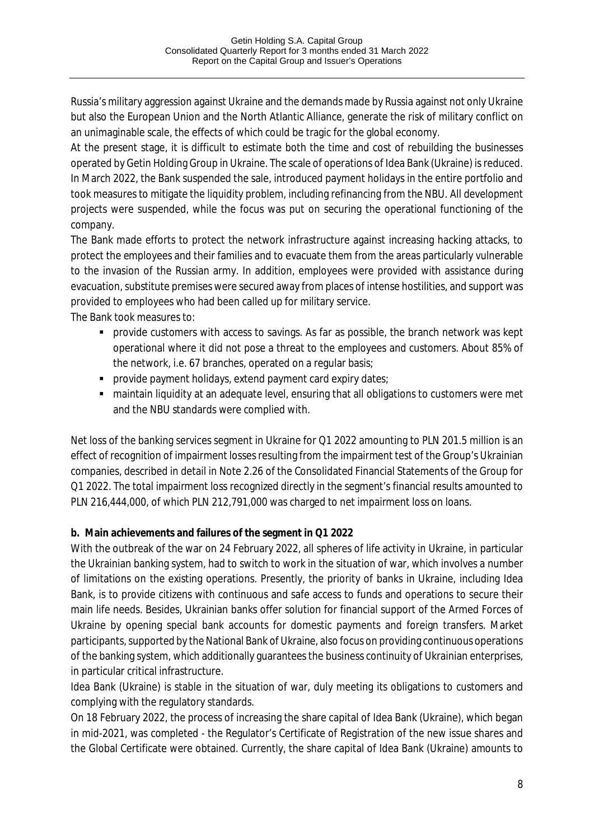Russia's military aggression against Ukraine and the demands made by Russia against not only Ukraine but also the European Union and the North Atlantic Alliance, generate the risk of military conflict on an unimaginable scale, the effects of which could be tragic for the global economy.

At the present stage, it is difficult to estimate both the time and cost of rebuilding the businesses operated by Getin Holding Group in Ukraine. The scale of operations of Idea Bank (Ukraine) is reduced. In March 2022, the Bank suspended the sale, introduced payment holidays in the entire portfolio and took measures to mitigate the liquidity problem, including refinancing from the NBU. All development projects were suspended, while the focus was put on securing the operational functioning of the company.

The Bank made efforts to protect the network infrastructure against increasing hacking attacks, to protect the employees and their families and to evacuate them from the areas particularly vulnerable to the invasion of the Russian army. In addition, employees were provided with assistance during evacuation, substitute premises were secured away from places of intense hostilities, and support was provided to employees who had been called up for military service.

The Bank took measures to:

- § provide customers with access to savings. As far as possible, the branch network was kept operational where it did not pose a threat to the employees and customers. About 85% of the network, i.e. 67 branches, operated on a regular basis;
- **•** provide payment holidays, extend payment card expiry dates;
- maintain liquidity at an adequate level, ensuring that all obligations to customers were met and the NBU standards were complied with.

Net loss of the banking services segment in Ukraine for Q1 2022 amounting to PLN 201.5 million is an effect of recognition of impairment losses resulting from the impairment test of the Group's Ukrainian companies, described in detail in Note 2.26 of the Consolidated Financial Statements of the Group for Q1 2022. The total impairment loss recognized directly in the segment's financial results amounted to PLN 216,444,000, of which PLN 212,791,000 was charged to net impairment loss on loans.

### **b. Main achievements and failures of the segment in Q1 2022**

With the outbreak of the war on 24 February 2022, all spheres of life activity in Ukraine, in particular the Ukrainian banking system, had to switch to work in the situation of war, which involves a number of limitations on the existing operations. Presently, the priority of banks in Ukraine, including Idea Bank, is to provide citizens with continuous and safe access to funds and operations to secure their main life needs. Besides, Ukrainian banks offer solution for financial support of the Armed Forces of Ukraine by opening special bank accounts for domestic payments and foreign transfers. Market participants, supported by the National Bank of Ukraine, also focus on providing continuous operations of the banking system, which additionally guarantees the business continuity of Ukrainian enterprises, in particular critical infrastructure.

Idea Bank (Ukraine) is stable in the situation of war, duly meeting its obligations to customers and complying with the regulatory standards.

On 18 February 2022, the process of increasing the share capital of Idea Bank (Ukraine), which began in mid-2021, was completed - the Regulator's Certificate of Registration of the new issue shares and the Global Certificate were obtained. Currently, the share capital of Idea Bank (Ukraine) amounts to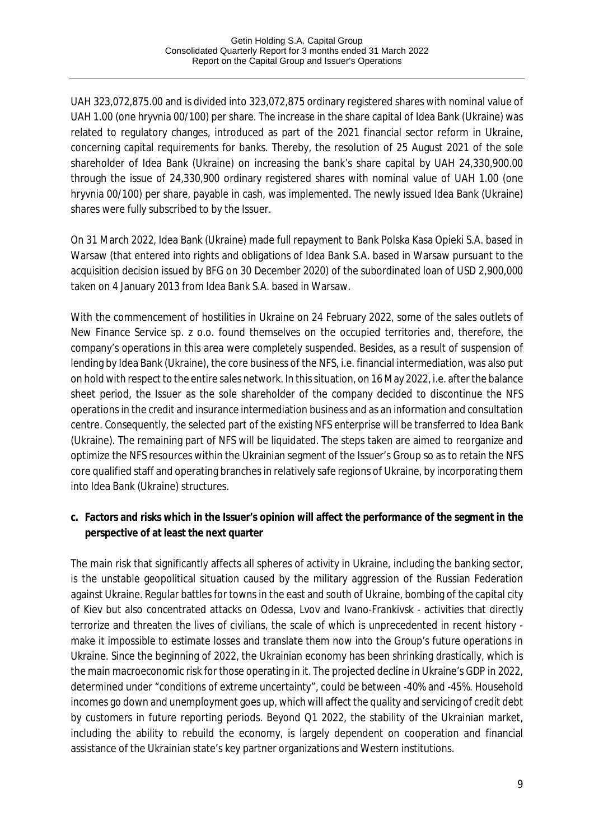UAH 323,072,875.00 and is divided into 323,072,875 ordinary registered shares with nominal value of UAH 1.00 (one hryvnia 00/100) per share. The increase in the share capital of Idea Bank (Ukraine) was related to regulatory changes, introduced as part of the 2021 financial sector reform in Ukraine, concerning capital requirements for banks. Thereby, the resolution of 25 August 2021 of the sole shareholder of Idea Bank (Ukraine) on increasing the bank's share capital by UAH 24,330,900.00 through the issue of 24,330,900 ordinary registered shares with nominal value of UAH 1.00 (one hryvnia 00/100) per share, payable in cash, was implemented. The newly issued Idea Bank (Ukraine) shares were fully subscribed to by the Issuer.

On 31 March 2022, Idea Bank (Ukraine) made full repayment to Bank Polska Kasa Opieki S.A. based in Warsaw (that entered into rights and obligations of Idea Bank S.A. based in Warsaw pursuant to the acquisition decision issued by BFG on 30 December 2020) of the subordinated loan of USD 2,900,000 taken on 4 January 2013 from Idea Bank S.A. based in Warsaw.

With the commencement of hostilities in Ukraine on 24 February 2022, some of the sales outlets of New Finance Service sp. z o.o. found themselves on the occupied territories and, therefore, the company's operations in this area were completely suspended. Besides, as a result of suspension of lending by Idea Bank (Ukraine), the core business of the NFS, i.e. financial intermediation, was also put on hold with respect to the entire sales network. In this situation, on 16 May 2022, i.e. after the balance sheet period, the Issuer as the sole shareholder of the company decided to discontinue the NFS operations in the credit and insurance intermediation business and as an information and consultation centre. Consequently, the selected part of the existing NFS enterprise will be transferred to Idea Bank (Ukraine). The remaining part of NFS will be liquidated. The steps taken are aimed to reorganize and optimize the NFS resources within the Ukrainian segment of the Issuer's Group so as to retain the NFS core qualified staff and operating branches in relatively safe regions of Ukraine, by incorporating them into Idea Bank (Ukraine) structures.

**c. Factors and risks which in the Issuer's opinion will affect the performance of the segment in the perspective of at least the next quarter**

The main risk that significantly affects all spheres of activity in Ukraine, including the banking sector, is the unstable geopolitical situation caused by the military aggression of the Russian Federation against Ukraine. Regular battles for towns in the east and south of Ukraine, bombing of the capital city of Kiev but also concentrated attacks on Odessa, Lvov and Ivano-Frankivsk - activities that directly terrorize and threaten the lives of civilians, the scale of which is unprecedented in recent history make it impossible to estimate losses and translate them now into the Group's future operations in Ukraine. Since the beginning of 2022, the Ukrainian economy has been shrinking drastically, which is the main macroeconomic risk for those operating in it. The projected decline in Ukraine's GDP in 2022, determined under "conditions of extreme uncertainty", could be between -40% and -45%. Household incomes go down and unemployment goes up, which will affect the quality and servicing of credit debt by customers in future reporting periods. Beyond Q1 2022, the stability of the Ukrainian market, including the ability to rebuild the economy, is largely dependent on cooperation and financial assistance of the Ukrainian state's key partner organizations and Western institutions.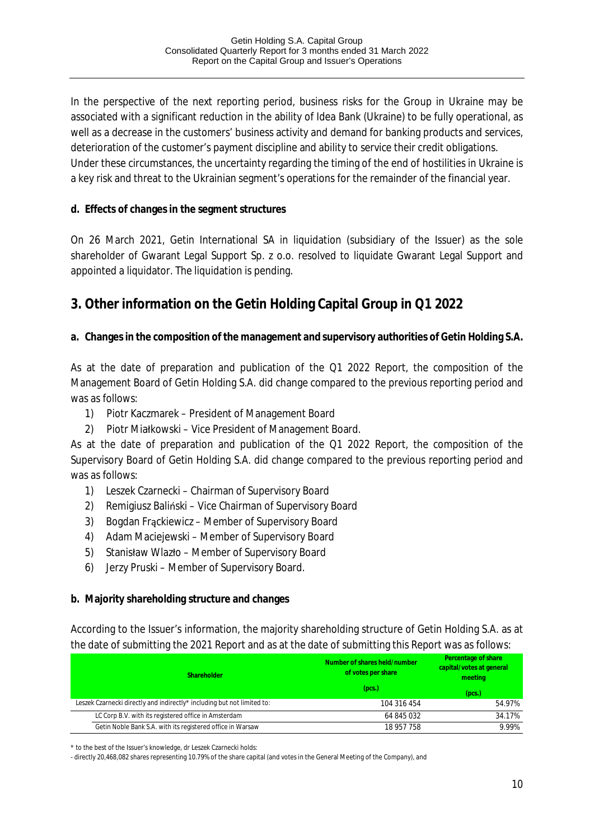In the perspective of the next reporting period, business risks for the Group in Ukraine may be associated with a significant reduction in the ability of Idea Bank (Ukraine) to be fully operational, as well as a decrease in the customers' business activity and demand for banking products and services, deterioration of the customer's payment discipline and ability to service their credit obligations. Under these circumstances, the uncertainty regarding the timing of the end of hostilities in Ukraine is a key risk and threat to the Ukrainian segment's operations for the remainder of the financial year.

**d. Effects of changes in the segment structures**

On 26 March 2021, Getin International SA in liquidation (subsidiary of the Issuer) as the sole shareholder of Gwarant Legal Support Sp. z o.o. resolved to liquidate Gwarant Legal Support and appointed a liquidator. The liquidation is pending.

# **3. Other information on the Getin Holding Capital Group in Q1 2022**

**a. Changes in the composition of the management and supervisory authorities of Getin Holding S.A.**

As at the date of preparation and publication of the Q1 2022 Report, the composition of the Management Board of Getin Holding S.A. did change compared to the previous reporting period and was as follows:

- 1) Piotr Kaczmarek President of Management Board
- 2) Piotr Miałkowski Vice President of Management Board.

As at the date of preparation and publication of the Q1 2022 Report, the composition of the Supervisory Board of Getin Holding S.A. did change compared to the previous reporting period and was as follows:

- 1) Leszek Czarnecki Chairman of Supervisory Board
- 2) Remigiusz Baliński Vice Chairman of Supervisory Board
- 3) Bogdan Frąckiewicz Member of Supervisory Board
- 4) Adam Maciejewski Member of Supervisory Board
- 5) Stanisław Wlazło Member of Supervisory Board
- 6) Jerzy Pruski Member of Supervisory Board.

**b. Majority shareholding structure and changes**

According to the Issuer's information, the majority shareholding structure of Getin Holding S.A. as at the date of submitting the 2021 Report and as at the date of submitting this Report was as follows:

| Shareholder                                                             | Number of shares held/number<br>of votes per share | Percentage of share<br>capital/votes at general<br>meeting |  |
|-------------------------------------------------------------------------|----------------------------------------------------|------------------------------------------------------------|--|
|                                                                         | (pcs.)                                             | (pcs.)                                                     |  |
| Leszek Czarnecki directly and indirectly* including but not limited to: | 104 316 454                                        | 54.97%                                                     |  |
| LC Corp B.V. with its registered office in Amsterdam                    | 64 845 032                                         | 34.17%                                                     |  |
| Getin Noble Bank S.A. with its registered office in Warsaw              | 18 957 758                                         | 9.99%                                                      |  |

\* to the best of the Issuer's knowledge, dr Leszek Czarnecki holds:

- directly 20,468,082 shares representing 10.79% of the share capital (and votes in the General Meeting of the Company), and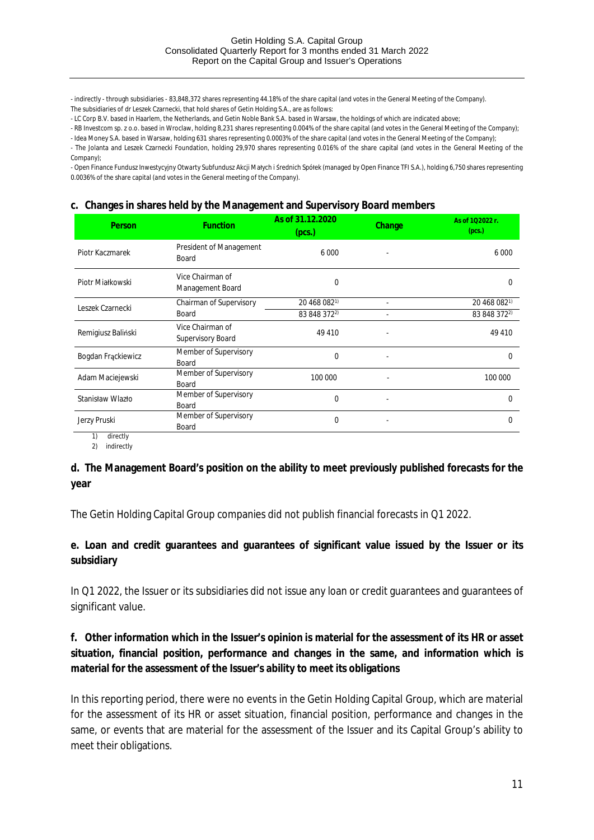- indirectly - through subsidiaries - 83,848,372 shares representing 44.18% of the share capital (and votes in the General Meeting of the Company). The subsidiaries of dr Leszek Czarnecki, that hold shares of Getin Holding S.A., are as follows:

- LC Corp B.V. based in Haarlem, the Netherlands, and Getin Noble Bank S.A. based in Warsaw, the holdings of which are indicated above;

- RB Investcom sp. z o.o. based in Wroclaw, holding 8,231 shares representing 0.004% of the share capital (and votes in the General Meeting of the Company);

- Idea Money S.A. based in Warsaw, holding 631 shares representing 0.0003% of the share capital (and votes in the General Meeting of the Company); - The Jolanta and Leszek Czarnecki Foundation, holding 29,970 shares representing 0.016% of the share capital (and votes in the General Meeting of the Company);

- Open Finance Fundusz Inwestycyjny Otwarty Subfundusz Akcji Małych i Średnich Spółek (managed by Open Finance TFI S.A.), holding 6,750 shares representing 0.0036% of the share capital (and votes in the General meeting of the Company).

#### **c. Changes in shares held by the Management and Supervisory Board members**

| Person             | <b>Function</b>                              | As of 31.12.2020<br>(pcs.) | Change | As of 102022 r.<br>(pcs.) |
|--------------------|----------------------------------------------|----------------------------|--------|---------------------------|
| Piotr Kaczmarek    | President of Management<br>Board             | 6 0 0 0                    |        | 6 0 0 0                   |
| Piotr Miałkowski   | Vice Chairman of<br>Management Board         | 0                          |        | 0                         |
| Leszek Czarnecki   | Chairman of Supervisory                      | 20 468 082 <sup>1)</sup>   |        | 20 468 0821)              |
|                    | Board                                        | 83 848 3722)               |        | 83 848 372 <sup>2)</sup>  |
| Remigiusz Baliński | Vice Chairman of<br><b>Supervisory Board</b> | 49 410                     |        | 49 410                    |
| Bogdan Frackiewicz | Member of Supervisory<br>Board               | $\Omega$                   |        | $\Omega$                  |
| Adam Maciejewski   | Member of Supervisory<br>Board               | 100 000                    |        | 100 000                   |
| Stanisław Wlazło   | Member of Supervisory<br>Board               | $\Omega$                   |        | $\Omega$                  |
| Jerzy Pruski       | Member of Supervisory<br>Board               | 0                          |        | 0                         |
| 1)<br>diroctly     |                                              |                            |        |                           |

1) directly 2) indirectly

**d. The Management Board's position on the ability to meet previously published forecasts for the year**

The Getin Holding Capital Group companies did not publish financial forecasts in Q1 2022.

**e. Loan and credit guarantees and guarantees of significant value issued by the Issuer or its subsidiary**

In Q1 2022, the Issuer or its subsidiaries did not issue any loan or credit guarantees and guarantees of significant value.

**f. Other information which in the Issuer's opinion is material for the assessment of its HR or asset situation, financial position, performance and changes in the same, and information which is material for the assessment of the Issuer's ability to meet its obligations**

In this reporting period, there were no events in the Getin Holding Capital Group, which are material for the assessment of its HR or asset situation, financial position, performance and changes in the same, or events that are material for the assessment of the Issuer and its Capital Group's ability to meet their obligations.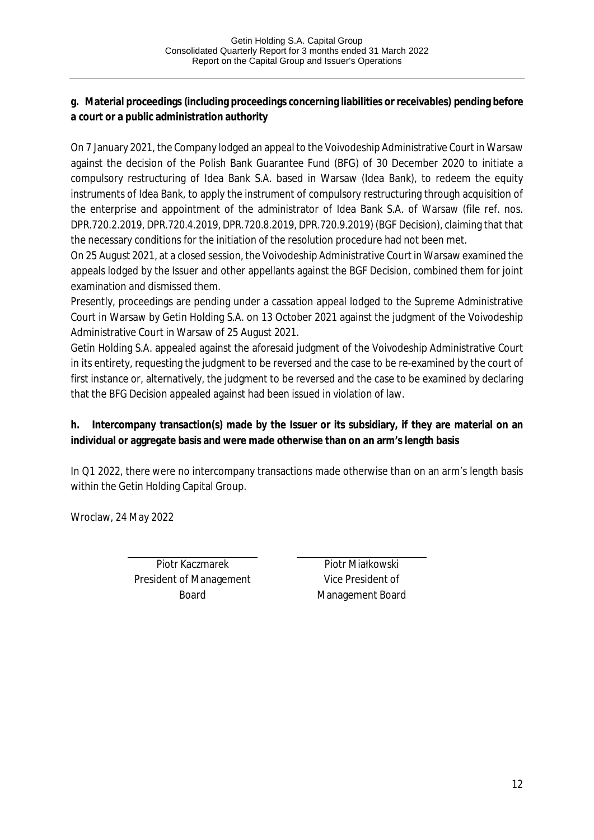**g. Material proceedings (including proceedings concerning liabilities or receivables) pending before a court or a public administration authority**

On 7 January 2021, the Company lodged an appeal to the Voivodeship Administrative Court in Warsaw against the decision of the Polish Bank Guarantee Fund (BFG) of 30 December 2020 to initiate a compulsory restructuring of Idea Bank S.A. based in Warsaw (Idea Bank), to redeem the equity instruments of Idea Bank, to apply the instrument of compulsory restructuring through acquisition of the enterprise and appointment of the administrator of Idea Bank S.A. of Warsaw (file ref. nos. DPR.720.2.2019, DPR.720.4.2019, DPR.720.8.2019, DPR.720.9.2019) (BGF Decision), claiming that that the necessary conditions for the initiation of the resolution procedure had not been met.

On 25 August 2021, at a closed session, the Voivodeship Administrative Court in Warsaw examined the appeals lodged by the Issuer and other appellants against the BGF Decision, combined them for joint examination and dismissed them.

Presently, proceedings are pending under a cassation appeal lodged to the Supreme Administrative Court in Warsaw by Getin Holding S.A. on 13 October 2021 against the judgment of the Voivodeship Administrative Court in Warsaw of 25 August 2021.

Getin Holding S.A. appealed against the aforesaid judgment of the Voivodeship Administrative Court in its entirety, requesting the judgment to be reversed and the case to be re-examined by the court of first instance or, alternatively, the judgment to be reversed and the case to be examined by declaring that the BFG Decision appealed against had been issued in violation of law.

**h. Intercompany transaction(s) made by the Issuer or its subsidiary, if they are material on an individual or aggregate basis and were made otherwise than on an arm's length basis**

In Q1 2022, there were no intercompany transactions made otherwise than on an arm's length basis within the Getin Holding Capital Group.

Wroclaw, 24 May 2022

Piotr Kaczmarek President of Management Board

Piotr Miałkowski Vice President of Management Board